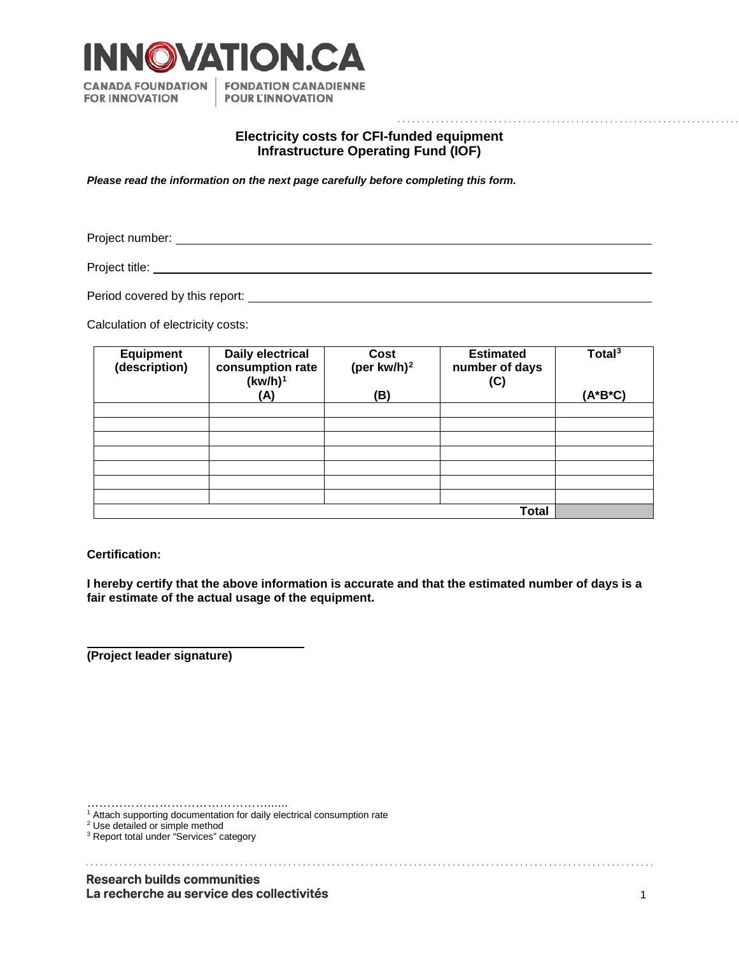

## **Electricity costs for CFI-funded equipment Infrastructure Operating Fund (IOF)**

*Please read the information on the next page carefully before completing this form.*

Project number:<br>

Project title:

Period covered by this report: <u>example and covered</u> by this report:

Calculation of electricity costs:

| <b>Equipment</b><br>(description) | Daily electrical<br>consumption rate<br>$(kw/h)^1$<br>(A) | Cost<br>(per kw/h) $^2$<br>(B) | <b>Estimated</b><br>number of days<br>(C) | Total $3$<br>(A*B*C) |
|-----------------------------------|-----------------------------------------------------------|--------------------------------|-------------------------------------------|----------------------|
|                                   |                                                           |                                |                                           |                      |
|                                   |                                                           |                                |                                           |                      |
|                                   |                                                           |                                |                                           |                      |
|                                   |                                                           |                                |                                           |                      |
|                                   |                                                           |                                |                                           |                      |
|                                   |                                                           |                                |                                           |                      |
|                                   |                                                           |                                |                                           |                      |
| <b>Total</b>                      |                                                           |                                |                                           |                      |

**Certification:**

**I hereby certify that the above information is accurate and that the estimated number of days is a fair estimate of the actual usage of the equipment.** 

**(Project leader signature)**

………………………………………………

<sup>1</sup> Attach supporting documentation for daily electrical consumption rate

<span id="page-0-1"></span><span id="page-0-0"></span><sup>2</sup> Use detailed or simple method

<span id="page-0-2"></span><sup>&</sup>lt;sup>3</sup> Report total under "Services" category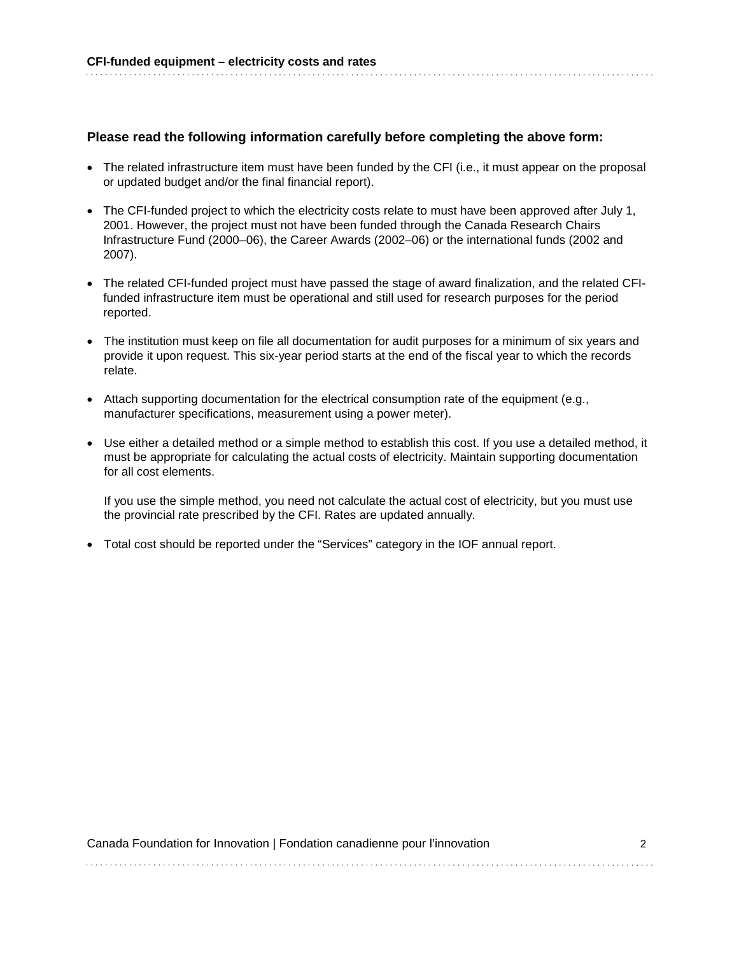## **Please read the following information carefully before completing the above form:**

- The related infrastructure item must have been funded by the CFI (i.e., it must appear on the proposal or updated budget and/or the final financial report).
- The CFI-funded project to which the electricity costs relate to must have been approved after July 1, 2001. However, the project must not have been funded through the Canada Research Chairs Infrastructure Fund (2000–06), the Career Awards (2002–06) or the international funds (2002 and 2007).
- The related CFI-funded project must have passed the stage of award finalization, and the related CFIfunded infrastructure item must be operational and still used for research purposes for the period reported.
- The institution must keep on file all documentation for audit purposes for a minimum of six years and provide it upon request. This six-year period starts at the end of the fiscal year to which the records relate.
- Attach supporting documentation for the electrical consumption rate of the equipment (e.g., manufacturer specifications, measurement using a power meter).
- Use either a detailed method or a simple method to establish this cost. If you use a detailed method, it must be appropriate for calculating the actual costs of electricity. Maintain supporting documentation for all cost elements.

If you use the simple method, you need not calculate the actual cost of electricity, but you must use the provincial rate prescribed by the CFI. Rates are updated annually.

• Total cost should be reported under the "Services" category in the IOF annual report.

| Canada Foundation for Innovation   Fondation canadienne pour l'innovation |  |
|---------------------------------------------------------------------------|--|
|                                                                           |  |